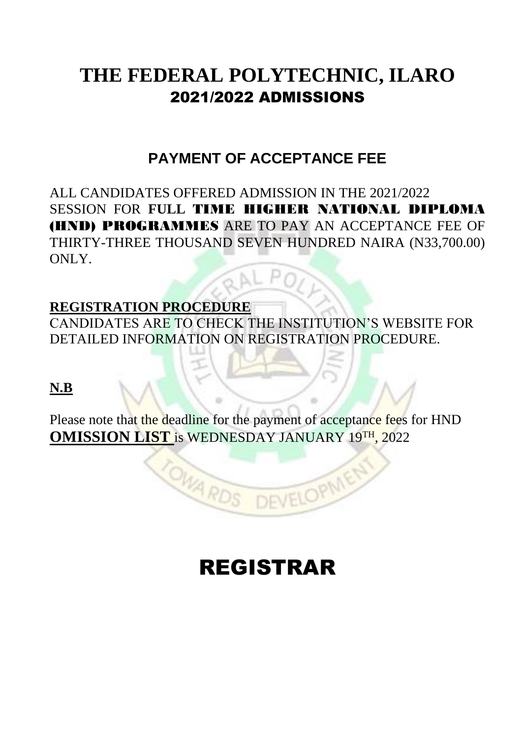# **THE FEDERAL POLYTECHNIC, ILARO** 2021/2022 ADMISSIONS

# **PAYMENT OF ACCEPTANCE FEE**

ALL CANDIDATES OFFERED ADMISSION IN THE 2021/2022 SESSION FOR **FULL** TIME HIGHER NATIONAL DIPLOMA (HND) PROGRAMMES ARE TO PAY AN ACCEPTANCE FEE OF THIRTY-THREE THOUSAND SEVEN HUNDRED NAIRA (N33,700.00) ONLY.

# **REGISTRATION PROCEDURE**

CANDIDATES ARE TO CHECK THE INSTITUTION'S WEBSITE FOR DETAILED INFORMATION ON REGISTRATION PROCEDURE.

**N.B**

Please note that the deadline for the payment of acceptance fees for HND **OMISSION LIST** is WEDNESDAY JANUARY 19TH, 2022

OWARDS

# REGISTRAR

**DEVELOPMEN**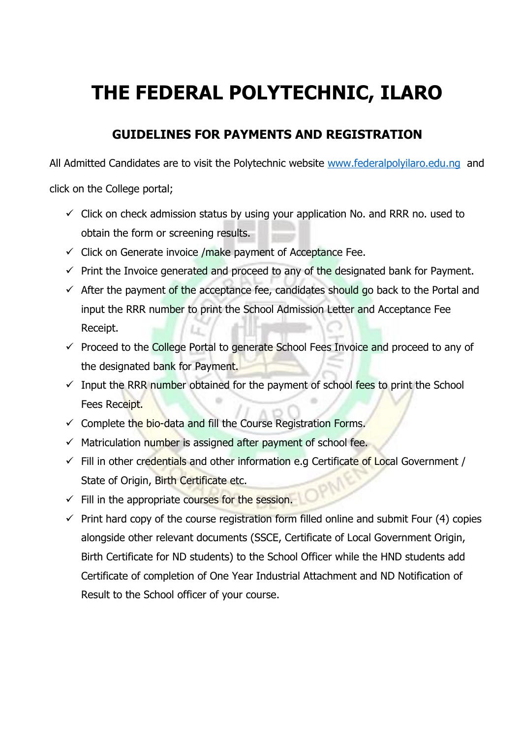# **THE FEDERAL POLYTECHNIC, ILARO**

# **GUIDELINES FOR PAYMENTS AND REGISTRATION**

All Admitted Candidates are to visit the Polytechnic website [www.federalpolyilaro.edu.ng](http://www.federalpolyilaro.edu.ng/) and

click on the College portal;

- $\checkmark$  Click on check admission status by using your application No. and RRR no. used to obtain the form or screening results.
- $\checkmark$  Click on Generate invoice /make payment of Acceptance Fee.
- $\checkmark$  Print the Invoice generated and proceed to any of the designated bank for Payment.
- $\checkmark$  After the payment of the acceptance fee, candidates should go back to the Portal and input the RRR number to print the School Admission Letter and Acceptance Fee Receipt.
- $\checkmark$  Proceed to the College Portal to generate School Fees Invoice and proceed to any of the designated bank for Payment.
- $\checkmark$  Input the RRR number obtained for the payment of school fees to print the School Fees Receipt.
- ✓ Complete the bio-data and fill the Course Registration Forms.
- $\checkmark$  Matriculation number is assigned after payment of school fee.
- $\checkmark$  Fill in other credentials and other information e.g Certificate of Local Government / State of Origin, Birth Certificate etc. PN
- $\checkmark$  Fill in the appropriate courses for the session.
- $\checkmark$  Print hard copy of the course registration form filled online and submit Four (4) copies alongside other relevant documents (SSCE, Certificate of Local Government Origin, Birth Certificate for ND students) to the School Officer while the HND students add Certificate of completion of One Year Industrial Attachment and ND Notification of Result to the School officer of your course.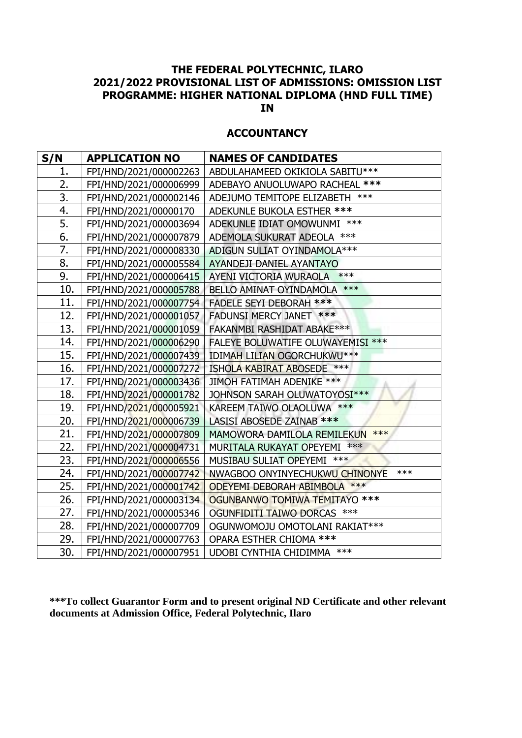#### **ACCOUNTANCY**

| S/N | <b>APPLICATION NO</b>  | <b>NAMES OF CANDIDATES</b>              |
|-----|------------------------|-----------------------------------------|
| 1.  | FPI/HND/2021/000002263 | ABDULAHAMEED OKIKIOLA SABITU***         |
| 2.  | FPI/HND/2021/000006999 | ADEBAYO ANUOLUWAPO RACHEAL ***          |
| 3.  | FPI/HND/2021/000002146 | ADEJUMO TEMITOPE ELIZABETH ***          |
| 4.  | FPI/HND/2021/00000170  | ADEKUNLE BUKOLA ESTHER ***              |
| 5.  | FPI/HND/2021/000003694 | ADEKUNLE IDIAT OMOWUNMI ***             |
| 6.  | FPI/HND/2021/000007879 | ADEMOLA SUKURAT ADEOLA ***              |
| 7.  | FPI/HND/2021/000008330 | ADIGUN SULIAT OYINDAMOLA***             |
| 8.  | FPI/HND/2021/000005584 | AYANDEJI DANIEL AYANTAYO                |
| 9.  | FPI/HND/2021/000006415 | $***$<br>AYENI VICTORIA WURAOLA         |
| 10. | FPI/HND/2021/000005788 | BELLO AMINAT OYINDAMOLA ***             |
| 11. | FPI/HND/2021/000007754 | <b>FADELE SEYI DEBORAH ***</b>          |
| 12. | FPI/HND/2021/000001057 | FADUNSI MERCY JANET ***                 |
| 13. | FPI/HND/2021/000001059 | FAKANMBI RASHIDAT ABAKE***              |
| 14. | FPI/HND/2021/000006290 | FALEYE BOLUWATIFE OLUWAYEMISI ***       |
| 15. | FPI/HND/2021/000007439 | IDIMAH LILIAN OGORCHUKWU***             |
| 16. | FPI/HND/2021/000007272 | ISHOLA KABIRAT ABOSEDE ***              |
| 17. | FPI/HND/2021/000003436 | JIMOH FATIMAH ADENIKE ***               |
| 18. | FPI/HND/2021/000001782 | JOHNSON SARAH OLUWATOYOSI***            |
| 19. | FPI/HND/2021/000005921 | KAREEM TAIWO OLAOLUWA ***               |
| 20. | FPI/HND/2021/000006739 | LASISI ABOSEDE ZAINAB ***               |
| 21. | FPI/HND/2021/000007809 | MAMOWORA DAMILOLA REMILEKUN ***         |
| 22. | FPI/HND/2021/000004731 | MURITALA RUKAYAT OPEYEMI ***            |
| 23. | FPI/HND/2021/000006556 | MUSIBAU SULIAT OPEYEMI ***              |
| 24. | FPI/HND/2021/000007742 | $***$<br>NWAGBOO ONYINYECHUKWU CHINONYE |
| 25. | FPI/HND/2021/000001742 | ODEYEMI DEBORAH ABIMBOLA ***            |
| 26. | FPI/HND/2021/000003134 | OGUNBANWO TOMIWA TEMITAYO ***           |
| 27. | FPI/HND/2021/000005346 | OGUNFIDITI TAIWO DORCAS ***             |
| 28. | FPI/HND/2021/000007709 | OGUNWOMOJU OMOTOLANI RAKIAT***          |
| 29. | FPI/HND/2021/000007763 | OPARA ESTHER CHIOMA ***                 |
| 30. | FPI/HND/2021/000007951 | UDOBI CYNTHIA CHIDIMMA ***              |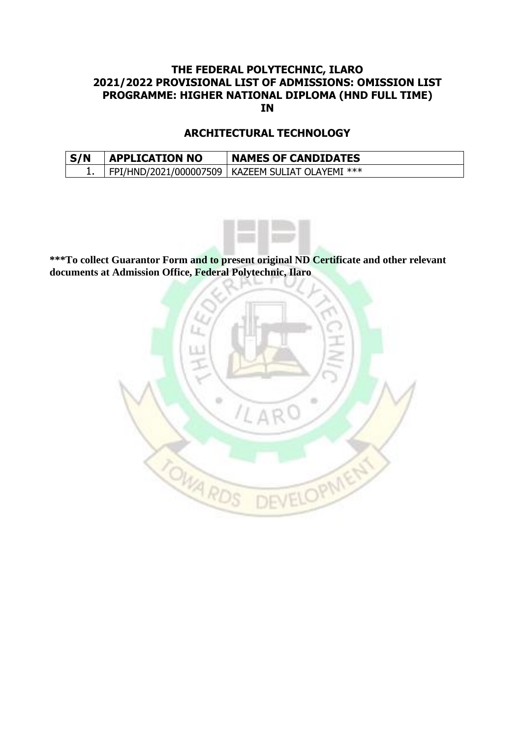### **ARCHITECTURAL TECHNOLOGY**

| S/N | <b>APPLICATION NO</b> | <b>NAMES OF CANDIDATES</b>                         |
|-----|-----------------------|----------------------------------------------------|
|     |                       | FPI/HND/2021/000007509   KAZEEM SULIAT OLAYEMI *** |

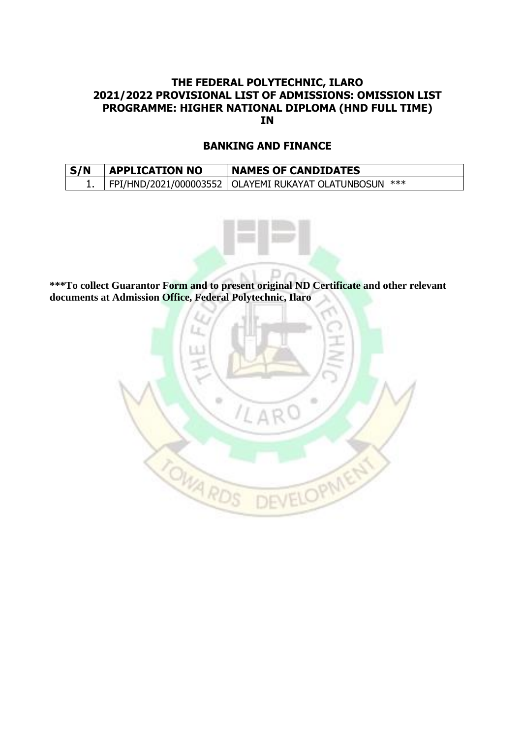#### **BANKING AND FINANCE**

| S/N | <b>APPLICATION NO</b> | <b>NAMES OF CANDIDATES</b>                               |
|-----|-----------------------|----------------------------------------------------------|
|     |                       | FPI/HND/2021/000003552   OLAYEMI RUKAYAT OLATUNBOSUN *** |



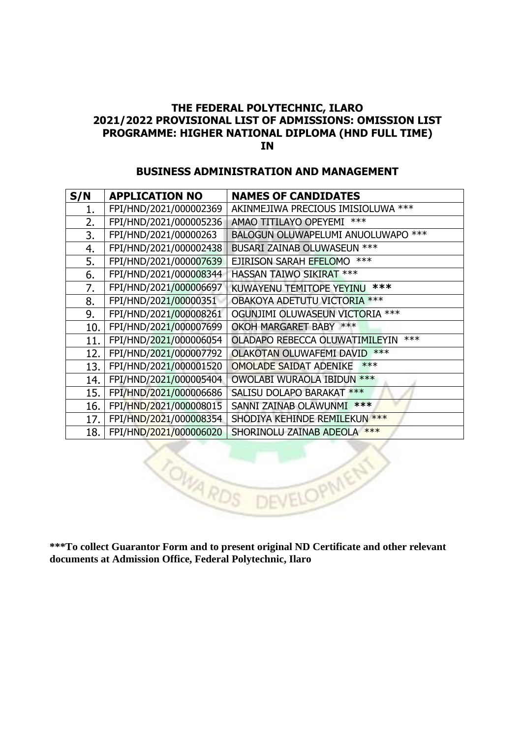#### **BUSINESS ADMINISTRATION AND MANAGEMENT**

| S/N | <b>APPLICATION NO</b>  | <b>NAMES OF CANDIDATES</b>              |
|-----|------------------------|-----------------------------------------|
| 1.  | FPI/HND/2021/000002369 | AKINMEJIWA PRECIOUS IMISIOLUWA ***      |
| 2.  | FPI/HND/2021/000005236 | ***<br>AMAO TITILAYO OPEYEMI            |
| 3.  | FPI/HND/2021/00000263  | BALOGUN OLUWAPELUMI ANUOLUWAPO ***      |
| 4.  | FPI/HND/2021/000002438 | BUSARI ZAINAB OLUWASEUN ***             |
| 5.  | FPI/HND/2021/000007639 | $***$<br>EJIRISON SARAH EFELOMO         |
| 6.  | FPI/HND/2021/000008344 | <b>HASSAN TAIWO SIKIRAT ***</b>         |
| 7.  | FPI/HND/2021/000006697 | ***<br>KUWAYENU TEMITOPE YEYINU         |
| 8.  | FPI/HND/2021/00000351  | OBAKOYA ADETUTU VICTORIA ***            |
| 9.  | FPI/HND/2021/000008261 | OGUNJIMI OLUWASEUN VICTORIA ***         |
| 10. | FPI/HND/2021/000007699 | OKOH MARGARET BABY ***                  |
| 11. | FPI/HND/2021/000006054 | $***$<br>OLADAPO REBECCA OLUWATIMILEYIN |
| 12. | FPI/HND/2021/000007792 | $***$<br>OLAKOTAN OLUWAFEMI DAVID       |
| 13. | FPI/HND/2021/000001520 | $***$<br><b>OMOLADE SAIDAT ADENIKE</b>  |
| 14. | FPI/HND/2021/000005404 | OWOLABI WURAOLA IBIDUN ***              |
| 15. | FPI/HND/2021/000006686 | <b>SALISU DOLAPO BARAKAT ***</b>        |
| 16. | FPI/HND/2021/000008015 | ***<br>SANNI ZAINAB OLAWUNMI            |
| 17. | FPI/HND/2021/000008354 | SHODIYA KEHINDE REMILEKUN ***           |
| 18. | FPI/HND/2021/000006020 | SHORINOLU ZAINAB ADEOLA ***             |

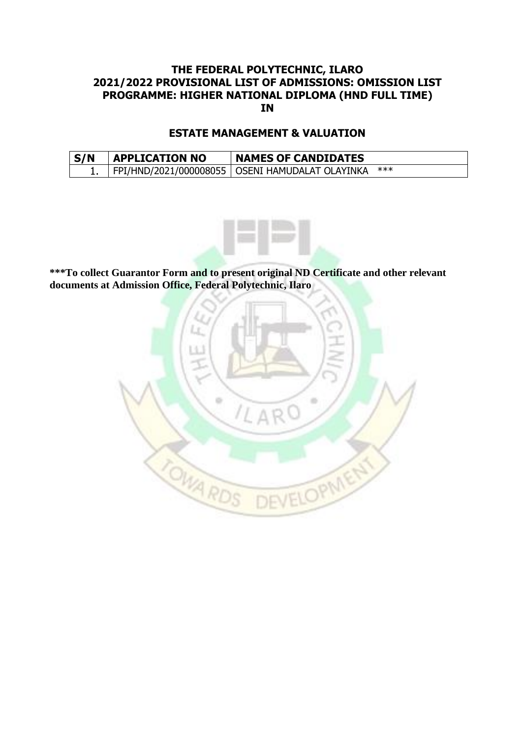#### **ESTATE MANAGEMENT & VALUATION**

| S/N | <b>APPLICATION NO</b> | <b>NAMES OF CANDIDATES</b>                        |     |
|-----|-----------------------|---------------------------------------------------|-----|
|     |                       | FPI/HND/2021/000008055   OSENI HAMUDALAT OLAYINKA | *** |



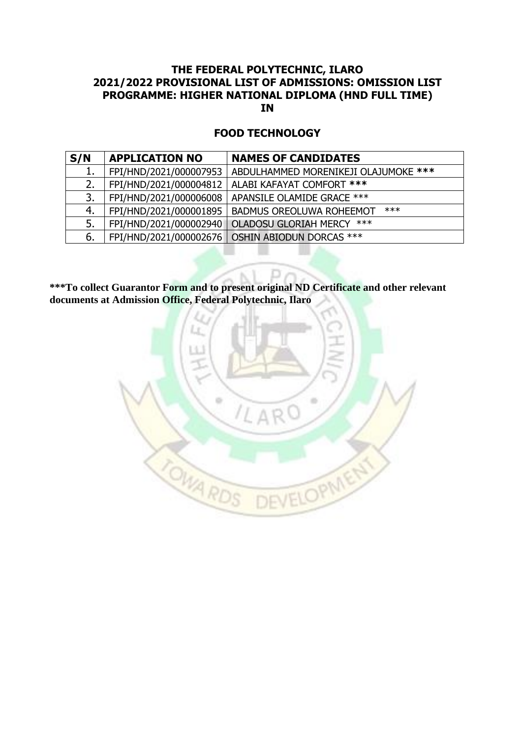#### **FOOD TECHNOLOGY**

| S/N | <b>APPLICATION NO</b>  | <b>NAMES OF CANDIDATES</b>                        |
|-----|------------------------|---------------------------------------------------|
| 1.  | FPI/HND/2021/000007953 | ABDULHAMMED MORENIKEJI OLAJUMOKE ***              |
| 2.  | FPI/HND/2021/000004812 | ALABI KAFAYAT COMFORT ***                         |
| 3.  | FPI/HND/2021/000006008 | APANSILE OLAMIDE GRACE ***                        |
| 4.  | FPI/HND/2021/000001895 | $***$<br><b>BADMUS OREOLUWA ROHEEMOT</b>          |
| 5.  | FPI/HND/2021/000002940 | <b>OLADOSU GLORIAH MERCY</b><br>***               |
| 6.  |                        | FPI/HND/2021/000002676   OSHIN ABIODUN DORCAS *** |

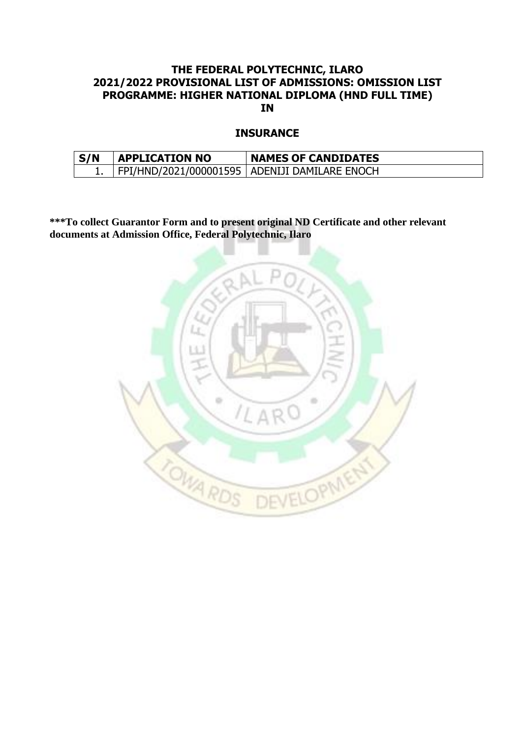#### **INSURANCE**

| S/N | <b>APPLICATION NO</b> | <b>NAMES OF CANDIDATES</b>                      |
|-----|-----------------------|-------------------------------------------------|
|     |                       | FPI/HND/2021/000001595   ADENIJI DAMILARE ENOCH |

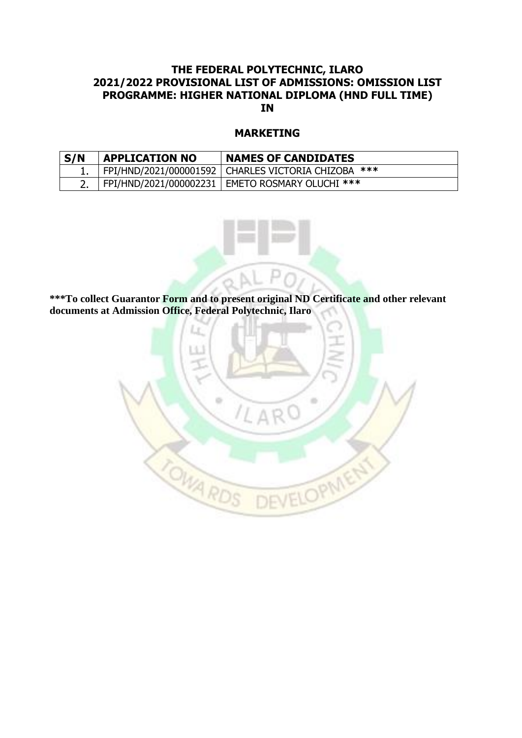#### **MARKETING**

| S/N | <b>APPLICATION NO</b> | <b>NAMES OF CANDIDATES</b>                            |
|-----|-----------------------|-------------------------------------------------------|
|     |                       | FPI/HND/2021/000001592   CHARLES VICTORIA CHIZOBA *** |
|     |                       | FPI/HND/2021/000002231   EMETO ROSMARY OLUCHI ***     |



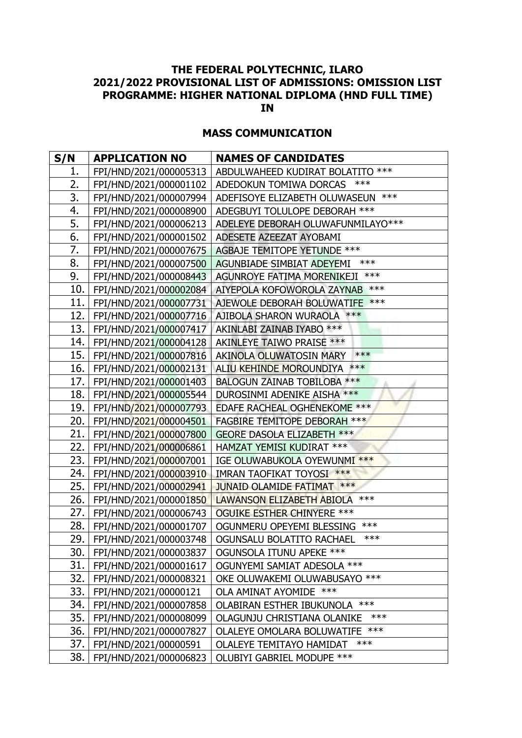## **MASS COMMUNICATION**

| S/N  | <b>APPLICATION NO</b>        | <b>NAMES OF CANDIDATES</b>           |
|------|------------------------------|--------------------------------------|
| 1.   | FPI/HND/2021/000005313       | ABDULWAHEED KUDIRAT BOLATITO ***     |
| 2.   | FPI/HND/2021/000001102       | ***<br>ADEDOKUN TOMIWA DORCAS        |
| 3.   | FPI/HND/2021/000007994       | ADEFISOYE ELIZABETH OLUWASEUN ***    |
| 4.   | FPI/HND/2021/000008900       | ADEGBUYI TOLULOPE DEBORAH ***        |
| 5.   | FPI/HND/2021/000006213       | ADELEYE DEBORAH OLUWAFUNMILAYO ***   |
| 6.   | FPI/HND/2021/000001502       | ADESETE AZEEZAT AYOBAMI              |
| 7.   | FPI/HND/2021/000007675       | AGBAJE TEMITOPE YETUNDE ***          |
| 8.   | FPI/HND/2021/000007500       | $***$<br>AGUNBIADE SIMBIAT ADEYEMI   |
| 9.   | FPI/HND/2021/000008443       | AGUNROYE FATIMA MORENIKEJI ***       |
| 10.  | FPI/HND/2021/000002084       | AIYEPOLA KOFOWOROLA ZAYNAB ***       |
| 11.  | FPI/HND/2021/000007731       | AJEWOLE DEBORAH BOLUWATIFE ***       |
| 12.  | FPI/HND/2021/000007716       | AJIBOLA SHARON WURAOLA ***           |
| 13.  | FPI/HND/2021/000007417       | AKINLABI ZAINAB IYABO ***            |
| 14.  | FPI/HND/2021/000004128       | AKINLEYE TAIWO PRAISE ***            |
| 15.  | FPI/HND/2021/000007816       | $***$<br>AKINOLA OLUWATOSIN MARY     |
| 16.  | FPI/HND/2021/000002131       | ALIU KEHINDE MOROUNDIYA ***          |
| 17.  | FPI/HND/2021/000001403       | BALOGUN ZAINAB TOBILOBA ***          |
| 18.  | FPI/HND/2021/000005544       | DUROSINMI ADENIKE AISHA ***          |
| 19.  | FPI/HND/2021/000007793       | EDAFE RACHEAL OGHENEKOME ***         |
| 20.  | FPI/HND/2021/000004501       | <b>FAGBIRE TEMITOPE DEBORAH ***</b>  |
| 21.  | FPI/HND/2021/000007800       | <b>GEORE DASOLA ELIZABETH ***</b>    |
| 22.  | FPI/HND/2021/000006861       | HAMZAT YEMISI KUDIRAT ***            |
| 23.  | FPI/HND/2021/000007001       | IGE OLUWABUKOLA OYEWUNMI ***         |
| 24.  | FPI/HND/2021/000003910       | IMRAN TAOFIKAT TOYOSI ***            |
| 25.  | FPI/HND/2021/000002941       | JUNAID OLAMIDE FATIMAT ***           |
| 26.  | FPI/HND/2021/000001850       | LAWANSON ELIZABETH ABIOLA ***        |
| 27.  | FPI/HND/2021/000006743       | <b>OGUIKE ESTHER CHINYERE ***</b>    |
| 28.  | FPI/HND/2021/000001707       | ***<br>OGUNMERU OPEYEMI BLESSING     |
| 29.1 | FPI/HND/2021/000003748       | ***<br>OGUNSALU BOLATITO RACHAEL     |
|      | 30.   FPI/HND/2021/000003837 | OGUNSOLA ITUNU APEKE ***             |
| 31.  | FPI/HND/2021/000001617       | OGUNYEMI SAMIAT ADESOLA ***          |
| 32.  | FPI/HND/2021/000008321       | OKE OLUWAKEMI OLUWABUSAYO ***        |
|      | 33.   FPI/HND/2021/00000121  | OLA AMINAT AYOMIDE ***               |
| 34.  | FPI/HND/2021/000007858       | OLABIRAN ESTHER IBUKUNOLA ***        |
| 35.  | FPI/HND/2021/000008099       | $***$<br>OLAGUNJU CHRISTIANA OLANIKE |
| 36.  | FPI/HND/2021/000007827       | OLALEYE OMOLARA BOLUWATIFE ***       |
| 37.  | FPI/HND/2021/00000591        | $***$<br>OLALEYE TEMITAYO HAMIDAT    |
| 38.  | FPI/HND/2021/000006823       | OLUBIYI GABRIEL MODUPE ***           |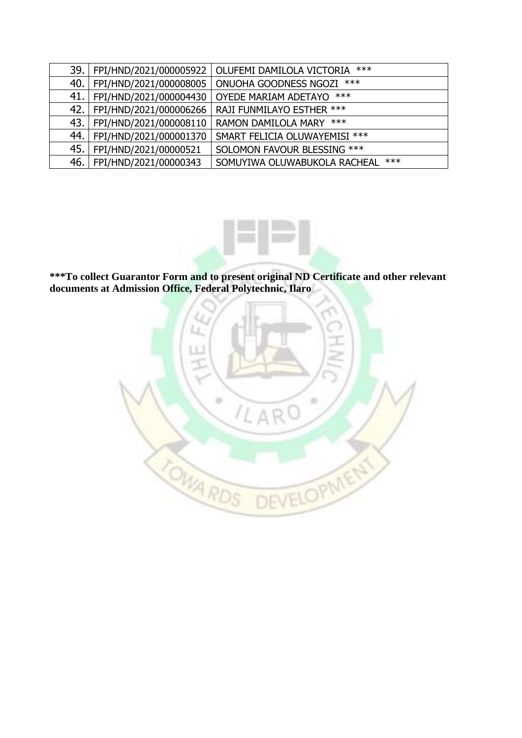| 39.   |                              | FPI/HND/2021/000005922   OLUFEMI DAMILOLA VICTORIA *** |
|-------|------------------------------|--------------------------------------------------------|
| 40.1  | FPI/HND/2021/000008005       | ONUOHA GOODNESS NGOZI ***                              |
| 41.   | FPI/HND/2021/000004430       | OYEDE MARIAM ADETAYO ***                               |
| 42.1  | FPI/HND/2021/000006266       | RAJI FUNMILAYO ESTHER ***                              |
| 43. I | FPI/HND/2021/000008110       | RAMON DAMILOLA MARY ***                                |
|       | 44.   FPI/HND/2021/000001370 | SMART FELICIA OLUWAYEMISI ***                          |
| 45.   | FPI/HND/2021/00000521        | SOLOMON FAVOUR BLESSING ***                            |
| 46.   | FPI/HND/2021/00000343        | $***$<br>SOMUYIWA OLUWABUKOLA RACHEAL                  |



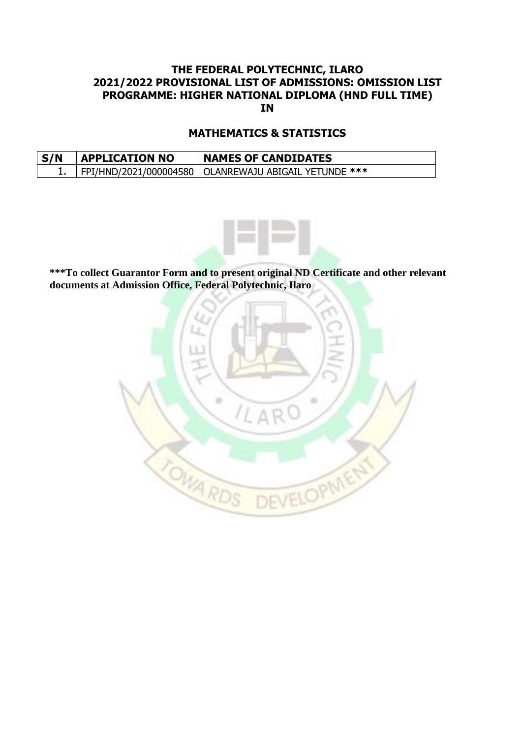### **MATHEMATICS & STATISTICS**

| S/N | <b>APPLICATION NO</b> | <b>NAMES OF CANDIDATES</b>                              |
|-----|-----------------------|---------------------------------------------------------|
|     |                       | FPI/HND/2021/000004580   OLANREWAJU ABIGAIL YETUNDE *** |



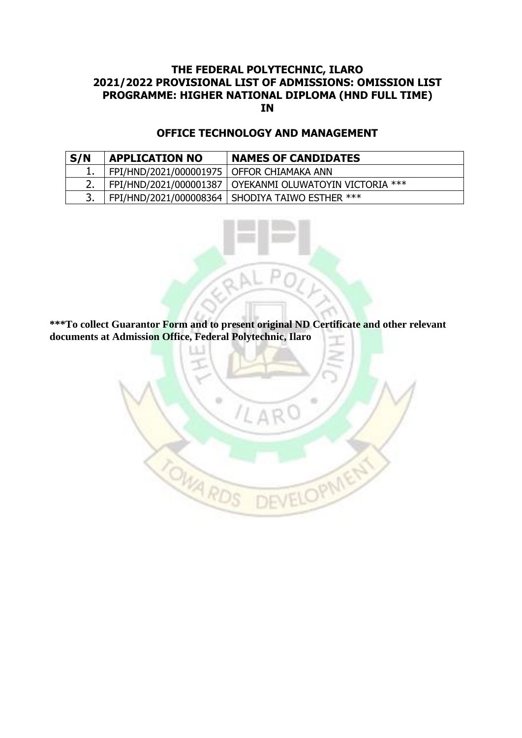## **OFFICE TECHNOLOGY AND MANAGEMENT**

| S/N | <b>APPLICATION NO</b>                       | <b>NAMES OF CANDIDATES</b>                                |
|-----|---------------------------------------------|-----------------------------------------------------------|
|     | FPI/HND/2021/000001975   OFFOR CHIAMAKA ANN |                                                           |
|     |                                             | FPI/HND/2021/000001387   OYEKANMI OLUWATOYIN VICTORIA *** |
|     |                                             | FPI/HND/2021/000008364   SHODIYA TAIWO ESTHER ***         |

**\*\*\*To collect Guarantor Form and to present original ND Certificate and other relevant documents at Admission Office, Federal Polytechnic, Ilaro**

ili.

DEVELOPMENT

 $\alpha$ 

TOWA RD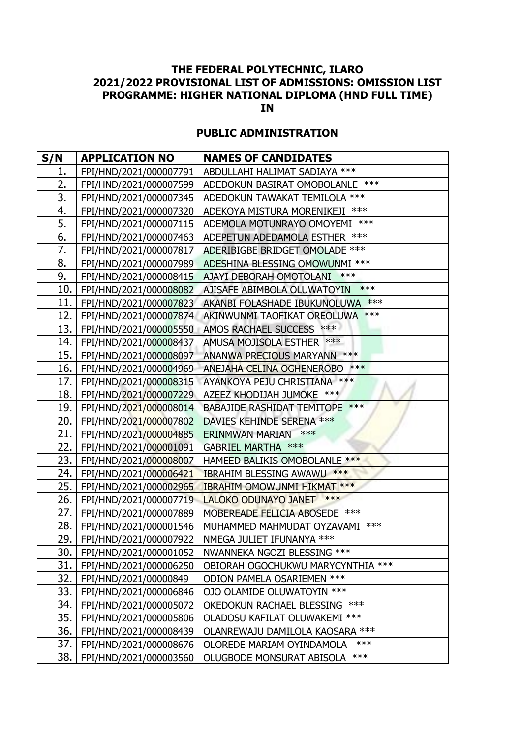## **PUBLIC ADMINISTRATION**

| S/N  | <b>APPLICATION NO</b>        | <b>NAMES OF CANDIDATES</b>            |
|------|------------------------------|---------------------------------------|
| 1.   | FPI/HND/2021/000007791       | ABDULLAHI HALIMAT SADIAYA ***         |
| 2.   | FPI/HND/2021/000007599       | ADEDOKUN BASIRAT OMOBOLANLE ***       |
| 3.   | FPI/HND/2021/000007345       | ADEDOKUN TAWAKAT TEMILOLA ***         |
| 4.   | FPI/HND/2021/000007320       | ADEKOYA MISTURA MORENIKEJI ***        |
| 5.   | FPI/HND/2021/000007115       | ADEMOLA MOTUNRAYO OMOYEMI ***         |
| 6.   | FPI/HND/2021/000007463       | ADEPETUN ADEDAMOLA ESTHER ***         |
| 7.   | FPI/HND/2021/000007817       | ADERIBIGBE BRIDGET OMOLADE ***        |
| 8.   | FPI/HND/2021/000007989       | ADESHINA BLESSING OMOWUNMI ***        |
| 9.   | FPI/HND/2021/000008415       | $***$<br>AJAYI DEBORAH OMOTOLANI      |
| 10.  | FPI/HND/2021/000008082       | $***$<br>AJISAFE ABIMBOLA OLUWATOYIN  |
| 11.  | FPI/HND/2021/000007823       | AKANBI FOLASHADE IBUKUNOLUWA ***      |
| 12.1 | FPI/HND/2021/000007874       | AKINWUNMI TAOFIKAT OREOLUWA ***       |
| 13.  | FPI/HND/2021/000005550       | AMOS RACHAEL SUCCESS ***              |
| 14.  | FPI/HND/2021/000008437       | AMUSA MOJISOLA ESTHER ***             |
|      | 15.   FPI/HND/2021/000008097 | ANANWA PRECIOUS MARYANN ***           |
| 16.  | FPI/HND/2021/000004969       | ANEJAHA CELINA OGHENEROBO ***         |
| 17.  | FPI/HND/2021/000008315       | AYANKOYA PEJU CHRISTIANA ***          |
| 18.  | FPI/HND/2021/000007229       | AZEEZ KHODIJAH JUMOKE ***             |
|      | 19.   FPI/HND/2021/000008014 | <b>BABAJIDE RASHIDAT TEMITOPE ***</b> |
| 20.  | FPI/HND/2021/000007802       | DAVIES KEHINDE SERENA ***             |
| 21.  | FPI/HND/2021/000004885       | $***$<br>ERINMWAN MARIAN              |
| 22.  | FPI/HND/2021/000001091       | GABRIEL MARTHA ***                    |
| 23.  | FPI/HND/2021/000008007       | HAMEED BALIKIS OMOBOLANLE ***         |
| 24.  | FPI/HND/2021/000006421       | <b>IBRAHIM BLESSING AWAWU ***</b>     |
| 25.  | FPI/HND/2021/000002965       | IBRAHIM OMOWUNMI HIKMAT ***           |
| 26.  | FPI/HND/2021/000007719       | LALOKO ODUNAYO JANET ***              |
|      | 27. FPI/HND/2021/000007889   | MOBEREADE FELICIA ABOSEDE ***         |
| 28.  | FPI/HND/2021/000001546       | MUHAMMED MAHMUDAT OYZAVAMI ***        |
| 29.  | FPI/HND/2021/000007922       | NMEGA JULIET IFUNANYA ***             |
|      | 30.   FPI/HND/2021/000001052 | NWANNEKA NGOZI BLESSING ***           |
| 31.  | FPI/HND/2021/000006250       | OBIORAH OGOCHUKWU MARYCYNTHIA ***     |
| 32.  | FPI/HND/2021/00000849        | ODION PAMELA OSARIEMEN ***            |
| 33.  | FPI/HND/2021/000006846       | OJO OLAMIDE OLUWATOYIN ***            |
| 34.  | FPI/HND/2021/000005072       | OKEDOKUN RACHAEL BLESSING ***         |
| 35.  | FPI/HND/2021/000005806       | OLADOSU KAFILAT OLUWAKEMI ***         |
| 36.  | FPI/HND/2021/000008439       | OLANREWAJU DAMILOLA KAOSARA ***       |
| 37.  | FPI/HND/2021/000008676       | ***<br>OLOREDE MARIAM OYINDAMOLA      |
| 38.  | FPI/HND/2021/000003560       | OLUGBODE MONSURAT ABISOLA ***         |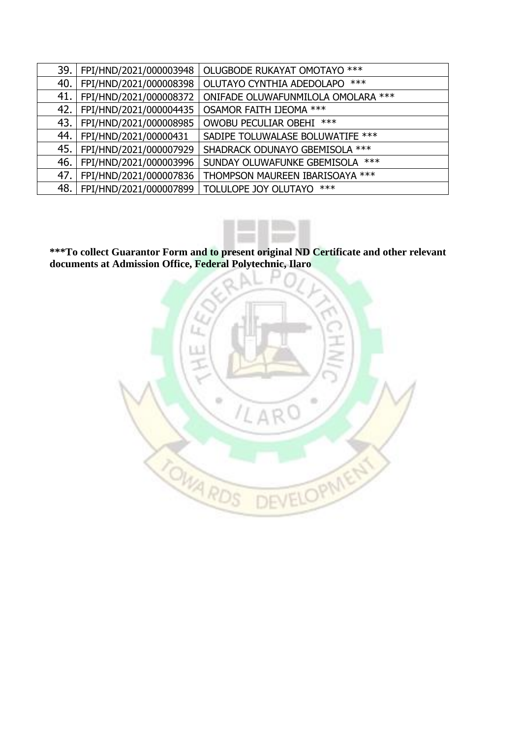| 39. | FPI/HND/2021/000003948 | OLUGBODE RUKAYAT OMOTAYO ***       |
|-----|------------------------|------------------------------------|
| 40. | FPI/HND/2021/000008398 | $***$<br>OLUTAYO CYNTHIA ADEDOLAPO |
| 41. | FPI/HND/2021/000008372 | ONIFADE OLUWAFUNMILOLA OMOLARA *** |
| 42. | FPI/HND/2021/000004435 | OSAMOR FAITH IJEOMA ***            |
| 43. | FPI/HND/2021/000008985 | OWOBU PECULIAR OBEHI ***           |
| 44. | FPI/HND/2021/00000431  | SADIPE TOLUWALASE BOLUWATIFE ***   |
| 45. | FPI/HND/2021/000007929 | SHADRACK ODUNAYO GBEMISOLA ***     |
| 46. | FPI/HND/2021/000003996 | SUNDAY OLUWAFUNKE GBEMISOLA ***    |
| 47. | FPI/HND/2021/000007836 | THOMPSON MAUREEN IBARISOAYA ***    |
| 48. | FPI/HND/2021/000007899 | TOLULOPE JOY OLUTAYO ***           |



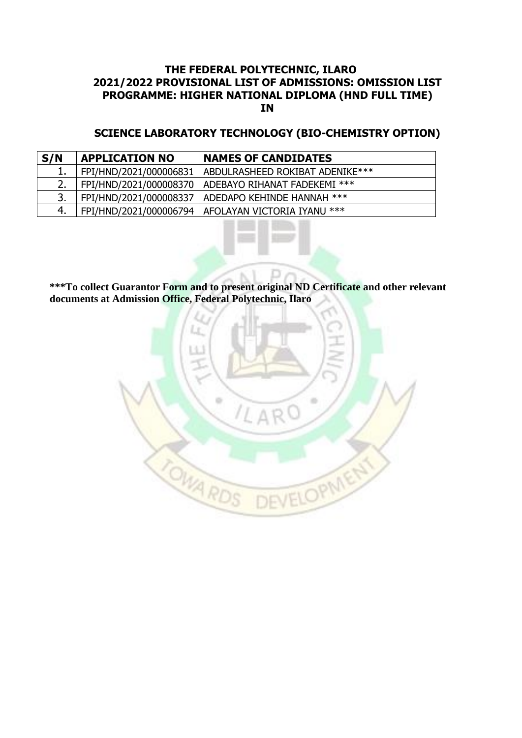#### **SCIENCE LABORATORY TECHNOLOGY (BIO-CHEMISTRY OPTION)**

| S/N | <b>APPLICATION NO</b>  | <b>NAMES OF CANDIDATES</b>                            |
|-----|------------------------|-------------------------------------------------------|
|     | FPI/HND/2021/000006831 | ABDULRASHEED ROKIBAT ADENIKE***                       |
| 2.  |                        | FPI/HND/2021/000008370   ADEBAYO RIHANAT FADEKEMI *** |
| 3.  |                        | FPI/HND/2021/000008337   ADEDAPO KEHINDE HANNAH ***   |
| 4.  |                        | FPI/HND/2021/000006794   AFOLAYAN VICTORIA IYANU ***  |

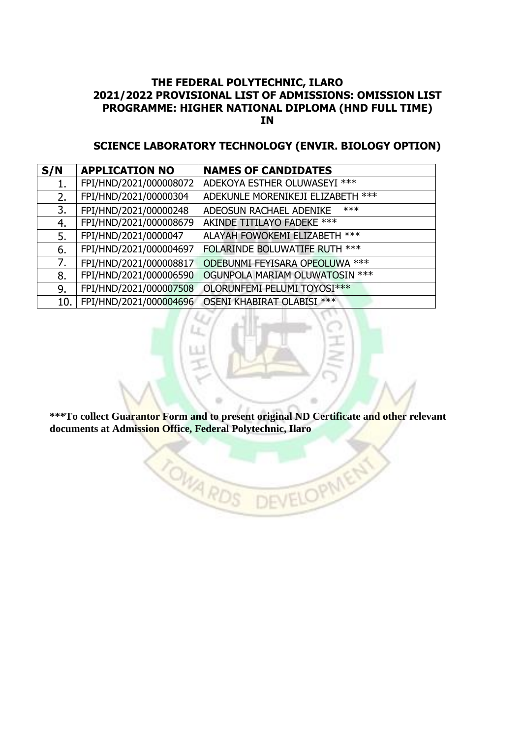### **SCIENCE LABORATORY TECHNOLOGY (ENVIR. BIOLOGY OPTION)**

| S/N | <b>APPLICATION NO</b>  | <b>NAMES OF CANDIDATES</b>        |
|-----|------------------------|-----------------------------------|
| 1.  | FPI/HND/2021/000008072 | ADEKOYA ESTHER OLUWASEYI ***      |
| 2.  | FPI/HND/2021/00000304  | ADEKUNLE MORENIKEJI ELIZABETH *** |
| 3.  | FPI/HND/2021/00000248  | $***$<br>ADEOSUN RACHAEL ADENIKE  |
| 4.  | FPI/HND/2021/000008679 | AKINDE TITILAYO FADEKE ***        |
| 5.  | FPI/HND/2021/0000047   | ALAYAH FOWOKEMI ELIZABETH ***     |
| 6.  | FPI/HND/2021/000004697 | FOLARINDE BOLUWATIFE RUTH ***     |
| 7.  | FPI/HND/2021/000008817 | ODEBUNMI FEYISARA OPEOLUWA ***    |
| 8.  | FPI/HND/2021/000006590 | OGUNPOLA MARIAM OLUWATOSIN ***    |
| 9.  | FPI/HND/2021/000007508 | OLORUNFEMI PELUMI TOYOSI***       |
| 10. | FPI/HND/2021/000004696 | <b>OSENI KHABIRAT OLABISI ***</b> |

**\*\*\*To collect Guarantor Form and to present original ND Certificate and other relevant documents at Admission Office, Federal Polytechnic, Ilaro**

a.

DEVELOPMENT

 $\frac{1}{2}$ 

TOWA RDS